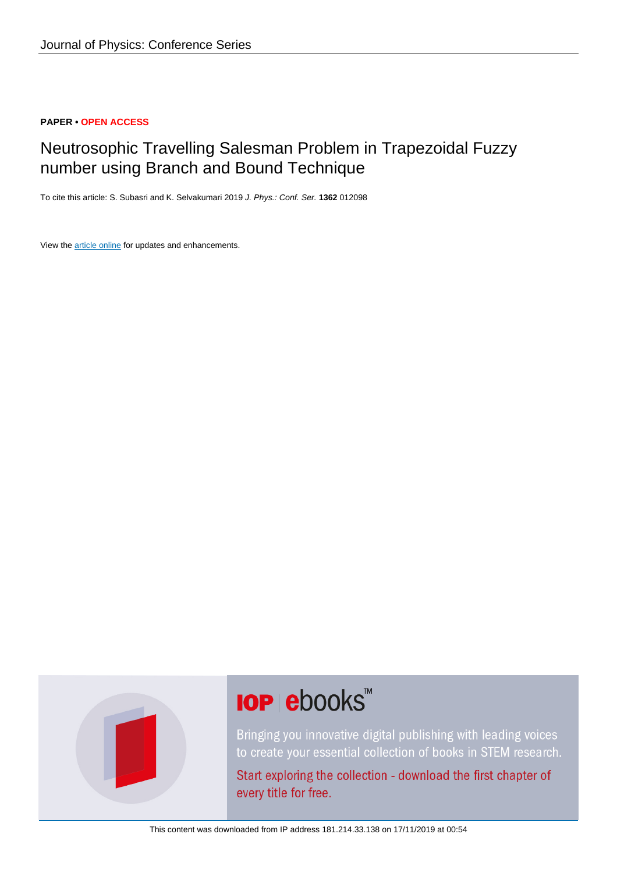# **PAPER • OPEN ACCESS**

# Neutrosophic Travelling Salesman Problem in Trapezoidal Fuzzy number using Branch and Bound Technique

To cite this article: S. Subasri and K. Selvakumari 2019 J. Phys.: Conf. Ser. **1362** 012098

View the [article online](https://doi.org/10.1088/1742-6596/1362/1/012098) for updates and enhancements.



# **IOP ebooks**™

Bringing you innovative digital publishing with leading voices to create your essential collection of books in STEM research.

Start exploring the collection - download the first chapter of every title for free.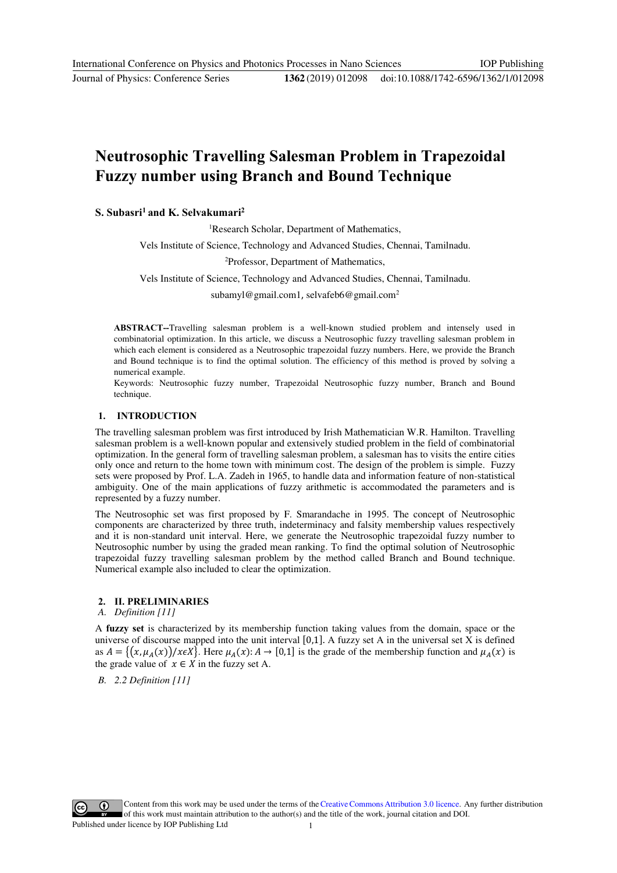# **Neutrosophic Travelling Salesman Problem in Trapezoidal Fuzzy number using Branch and Bound Technique**

# **S. Subasri1 and K. Selvakumari2**

1 Research Scholar, Department of Mathematics,

Vels Institute of Science, Technology and Advanced Studies, Chennai, Tamilnadu.

2 Professor, Department of Mathematics,

Vels Institute of Science, Technology and Advanced Studies, Chennai, Tamilnadu.

subamyl@gmail.com1, selvafeb6@gmail.com<sup>2</sup>

**ABSTRACT--**Travelling salesman problem is a well-known studied problem and intensely used in combinatorial optimization. In this article, we discuss a Neutrosophic fuzzy travelling salesman problem in which each element is considered as a Neutrosophic trapezoidal fuzzy numbers. Here, we provide the Branch and Bound technique is to find the optimal solution. The efficiency of this method is proved by solving a numerical example.

Keywords: Neutrosophic fuzzy number, Trapezoidal Neutrosophic fuzzy number, Branch and Bound technique.

#### **1. INTRODUCTION**

The travelling salesman problem was first introduced by Irish Mathematician W.R. Hamilton. Travelling salesman problem is a well-known popular and extensively studied problem in the field of combinatorial optimization. In the general form of travelling salesman problem, a salesman has to visits the entire cities only once and return to the home town with minimum cost. The design of the problem is simple. Fuzzy sets were proposed by Prof. L.A. Zadeh in 1965, to handle data and information feature of non-statistical ambiguity. One of the main applications of fuzzy arithmetic is accommodated the parameters and is represented by a fuzzy number.

The Neutrosophic set was first proposed by F. Smarandache in 1995. The concept of Neutrosophic components are characterized by three truth, indeterminacy and falsity membership values respectively and it is non-standard unit interval. Here, we generate the Neutrosophic trapezoidal fuzzy number to Neutrosophic number by using the graded mean ranking. To find the optimal solution of Neutrosophic trapezoidal fuzzy travelling salesman problem by the method called Branch and Bound technique. Numerical example also included to clear the optimization.

## **2. II. PRELIMINARIES**

*A. Definition [11]* 

A **fuzzy set** is characterized by its membership function taking values from the domain, space or the universe of discourse mapped into the unit interval  $[0,1]$ . A fuzzy set A in the universal set X is defined as  $A = \{ (x, \mu_A(x)) / x \in X \}$ . Here  $\mu_A(x) : A \to [0,1]$  is the grade of the membership function and  $\mu_A(x)$  is the grade value of  $x \in X$  in the fuzzy set A.

*B. 2.2 Definition [11]* 

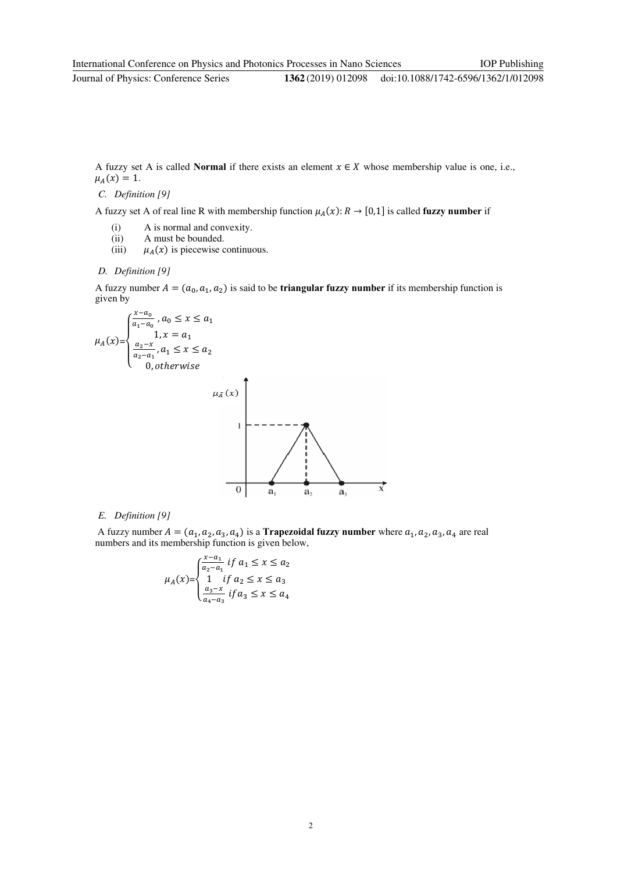doi:10.1088/1742-6596/1362/1/012098

A fuzzy set A is called **Normal** if there exists an element  $x \in X$  whose membership value is one, i.e.,  $\mu_A(x) = 1.$ 

#### *C. Definition [9]*

A fuzzy set A of real line R with membership function  $\mu_A(x): R \to [0,1]$  is called **fuzzy number** if

- (i) A is normal and convexity.
- (ii) A must be bounded.
- (iii)  $\mu_A(x)$  is piecewise continuous.
- *D. Definition [9]*

A fuzzy number  $A = (a_0, a_1, a_2)$  is said to be **triangular fuzzy number** if its membership function is given by

$$
\mu_{A}(x) = \begin{cases}\n\frac{x-a_{0}}{a_{1}-a_{0}}, a_{0} \leq x \leq a_{1} \\
1, x = a_{1} \\
\frac{a_{2}-x}{a_{2}-a_{1}}, a_{1} \leq x \leq a_{2} \\
0, otherwise\n\end{cases}
$$
\n
$$
\mu_{\bar{A}}(x)
$$

## *E. Definition [9]*

A fuzzy number  $A = (a_1, a_2, a_3, a_4)$  is a **Trapezoidal fuzzy number** where  $a_1, a_2, a_3, a_4$  are real numbers and its membership function is given below,

 $\frac{\triangle}{a}$ 

 $\frac{1}{a_2}$ 

 $\frac{1}{a}$ 

 $\overrightarrow{x}$ 

$$
\mu_A(x) = \begin{cases} \frac{x - a_1}{a_2 - a_1} & \text{if } a_1 \le x \le a_2\\ 1 & \text{if } a_2 \le x \le a_3\\ \frac{a_3 - x}{a_4 - a_3} & \text{if } a_3 \le x \le a_4 \end{cases}
$$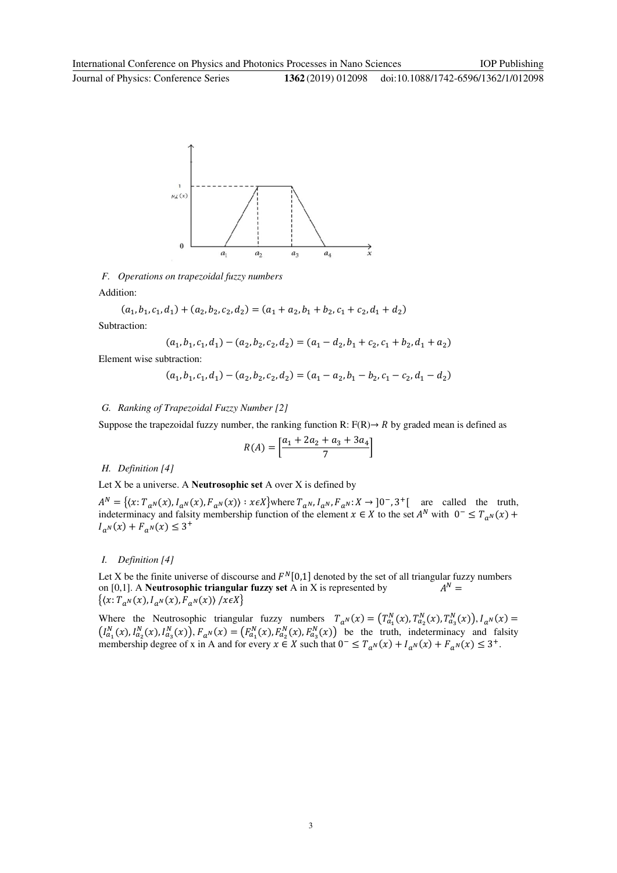Journal of Physics: Conference Series **1362** (2019) 012098

IOP Publishing



*F. Operations on trapezoidal fuzzy numbers* 

Addition:

$$
(a_1, b_1, c_1, d_1) + (a_2, b_2, c_2, d_2) = (a_1 + a_2, b_1 + b_2, c_1 + c_2, d_1 + d_2)
$$
  
Subtraction:

**Subtraction:** 

$$
(a_1, b_1, c_1, d_1) - (a_2, b_2, c_2, d_2) = (a_1 - d_2, b_1 + c_2, c_1 + b_2, d_1 + a_2)
$$

Element wise subtraction:

$$
(a_1, b_1, c_1, d_1) - (a_2, b_2, c_2, d_2) = (a_1 - a_2, b_1 - b_2, c_1 - c_2, d_1 - d_2)
$$

# *G. Ranking of Trapezoidal Fuzzy Number [2]*

Suppose the trapezoidal fuzzy number, the ranking function R:  $F(R) \rightarrow R$  by graded mean is defined as

$$
R(A) = \left[ \frac{a_1 + 2a_2 + a_3 + 3a_4}{7} \right]
$$

# *H. Definition [4]*

Let X be a universe. A **Neutrosophic set** A over X is defined by

 $A^N = \{ (x: T_{a^N}(x), I_{a^N}(x), F_{a^N}(x)) : x \in X \}$  where  $T_{a^N}, I_{a^N}, F_{a^N}: X \to [0^-, 3^+]$  are called the truth, indeterminacy and falsity membership function of the element  $x \in X$  to the set  $A^N$  with  $0^- \le T_{a^N}(x)$  +  $I_{a^N}(x) + F_{a^N}(x) \leq 3^+$ 

# *I. Definition [4]*

Let X be the finite universe of discourse and  $F^N[0,1]$  denoted by the set of all triangular fuzzy numbers on [0,1]. A **Neutrosophic triangular fuzzy set** A in X is represented by - $A^N =$  $\{(x: T_{a^N}(x), I_{a^N}(x), F_{a^N}(x)) | x \in X\}$ 

Where the Neutrosophic triangular fuzzy numbers  $T_{a^N}(x) = (T_{a_1}^N(x), T_{a_2}^N(x), T_{a_3}^N(x)), I_{a^N}(x) =$  $(I_{a_1}^N(x), I_{a_2}^N(x), I_{a_3}^N(x))$ ,  $F_{a^N}(x) = (F_{a_1}^N(x), F_{a_2}^N(x), F_{a_3}^N(x))$  be the truth, indeterminacy and falsity membership degree of x in A and for every  $x \in X$  such that  $0^- \le T_{a^N}(x) + I_{a^N}(x) + F_{a^N}(x) \le 3^+$ .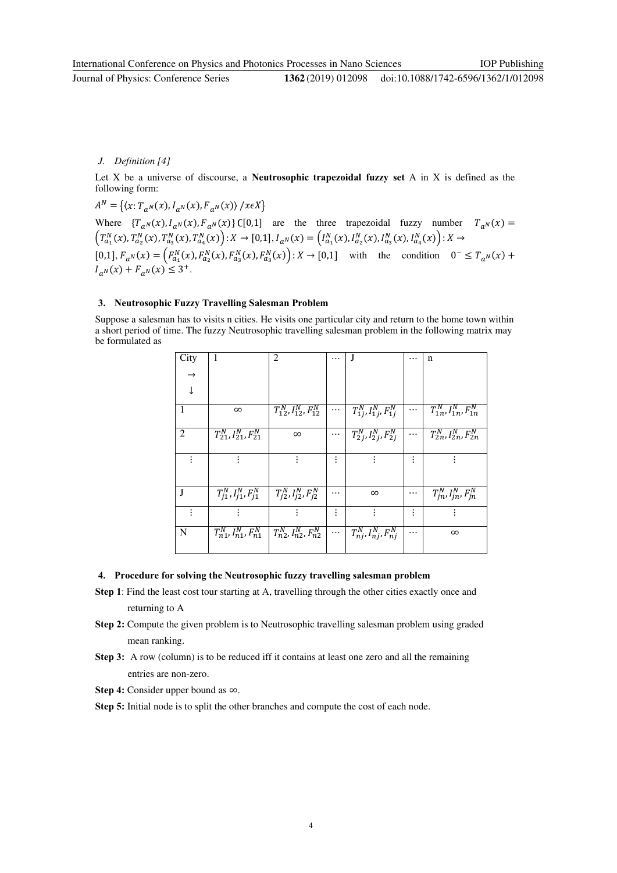Journal of Physics: Conference Series **1362** (2019) 012098

IOP Publishing

# *J. Definition [4]*

Let X be a universe of discourse, a **Neutrosophic trapezoidal fuzzy set** A in X is defined as the following form:

 $A^N = \{(x: T_{a^N}(x), I_{a^N}(x), F_{a^N}(x)) / x \in X\}$ Where  ${T_{aN}(x), I_{aN}(x), F_{aN}(x)}$  ([0,1] are the three trapezoidal fuzzy number  ${T_{aN}(x)}$  =  $\left(T_{a_1}^N(x), T_{a_2}^N(x), T_{a_3}^N(x), T_{a_4}^N(x)\right) : X \to [0,1], I_{a^N}(x) = \left(I_{a_1}^N(x), I_{a_2}^N(x), I_{a_3}^N(x), I_{a_4}^N(x)\right) : X \to [0,1], I_{a^N}(x) = I_{a^N}(x)$  $[0,1], F_{a^N}(x) = \left( F_{a_1}^N(x), F_{a_2}^N(x), F_{a_3}^N(x), F_{a_3}^N(x) \right) : X \to [0,1]$  with the condition  $0^- \le T_{a^N}(x)$  +  $I_{a^N}(x) + F_{a^N}(x) \leq 3^+$ .

# **3. Neutrosophic Fuzzy Travelling Salesman Problem**

Suppose a salesman has to visits n cities. He visits one particular city and return to the home town within a short period of time. The fuzzy Neutrosophic travelling salesman problem in the following matrix may be formulated as

| City           | 1                                       | 2                                    |          | J                                    |          | n                                    |
|----------------|-----------------------------------------|--------------------------------------|----------|--------------------------------------|----------|--------------------------------------|
| $\rightarrow$  |                                         |                                      |          |                                      |          |                                      |
| $\downarrow$   |                                         |                                      |          |                                      |          |                                      |
| 1              | $\infty$                                | $T_{12}^N, I_{12}^N, F_{12}^N$       | $\cdots$ | $T_{1j}^{N}, I_{1j}^{N}, F_{1j}^{N}$ | $\cdots$ | $T_{1n}^{N}, I_{1n}^{N}, F_{1n}^{N}$ |
| $\overline{2}$ | $T_{21}^N, I_{21}^N, F_{21}^N$          | $\infty$                             | $\cdots$ | $T_{2j}^{N}, I_{2j}^{N}, F_{2j}^{N}$ | $\cdots$ | $T_{2n}^{N}, I_{2n}^{N}, F_{2n}^{N}$ |
|                |                                         |                                      | ٠        |                                      |          |                                      |
| J              | $T_{j1}^N, I_{j1}^N, F_{j1}^N$          | $T_{j2}^N, I_{j2}^N, F_{j2}^N$       |          | $\infty$                             |          | $T_{jn}^N$ , $I_{jn}^N$ , $F_{jn}^N$ |
|                |                                         |                                      | ፡        |                                      | ፡        |                                      |
| N              | $\overline{T_{n1}^N,I_{n1}^N},F_{n1}^N$ | $T_{n2}^N$ , $I_{n2}^N$ , $F_{n2}^N$ | $\cdots$ | $T_{nj}^N$ , $I_{nj}^N$ , $F_{nj}^N$ |          | $\infty$                             |

#### **4. Procedure for solving the Neutrosophic fuzzy travelling salesman problem**

- **Step 1**: Find the least cost tour starting at A, travelling through the other cities exactly once and returning to A
- **Step 2:** Compute the given problem is to Neutrosophic travelling salesman problem using graded mean ranking.
- **Step 3:** A row (column) is to be reduced iff it contains at least one zero and all the remaining entries are non-zero.
- **Step 4:** Consider upper bound as ∞.

**Step 5:** Initial node is to split the other branches and compute the cost of each node.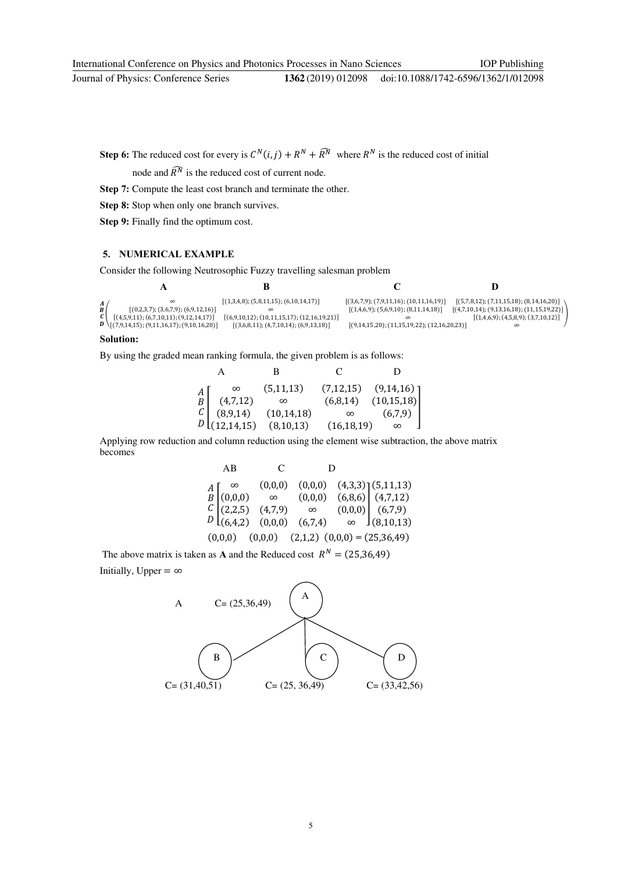IOP Publishing

doi:10.1088/1742-6596/1362/1/012098

**Step 6:** The reduced cost for every is  $C^N(i, j) + R^N + \widehat{R}^N$  where  $R^N$  is the reduced cost of initial

node and  $\widehat{R}^N$  is the reduced cost of current node.

**Step 7:** Compute the least cost branch and terminate the other.

**Step 8:** Stop when only one branch survives.

**Step 9:** Finally find the optimum cost.

## **5. NUMERICAL EXAMPLE**

Consider the following Neutrosophic Fuzzy travelling salesman problem

| $\boldsymbol{A}$<br>[(0,2,3,7); (3,6,7,9); (6,9,12,16)]<br>B<br>$C$ $[(4,5,9,11); (6,7,10,11); (9,12,14,17)]$<br>$\bm{D} \setminus [(7,9,14,15); (9,11,16,17); (9,10,16,20)]$ | $[(1,3,4,8); (5,8,11,15); (6,10,14,17)]$<br>$[(6,9,10,12); (10,11,15,17); (12,16,19,21)]$<br>$[(3,6,8,11); (4,7,10,14); (6,9,13,18)]$ | $[(3,6,7,9); (7,9,11,16); (10,11,16,19)]$<br>[(1,4,6,9); (5,6,9,10); (8,11,14,18)]<br>$[(9,14,15,20); (11,15,19,22); (12,16,20,23)]$ | $[(5,7,8,12); (7,11,15,18); (8,14,16,20)]$<br>$[(4,7,10,14); (9,13,16,18); (11,15,19,22)]$<br>[(1,4,6,9); (4,5,8,9); (3,7,10,12)] |
|-------------------------------------------------------------------------------------------------------------------------------------------------------------------------------|---------------------------------------------------------------------------------------------------------------------------------------|--------------------------------------------------------------------------------------------------------------------------------------|-----------------------------------------------------------------------------------------------------------------------------------|

## **Solution:**

By using the graded mean ranking formula, the given problem is as follows:

|  | $\begin{array}{c} A\!\!\!\left[ \begin{array}{ccc} \infty & (5,11,13) & (7,12,15) & (9,14,16) \\ (4,7,12) & \infty & (6,8,14) & (10,15,18) \\ (8,9,14) & (10,14,18) & \infty & (6,7,9) \\ 12,14,15) & (8,10,13) & (16,18,19) & \infty \end{array} \right] \end{array}$ |  |
|--|------------------------------------------------------------------------------------------------------------------------------------------------------------------------------------------------------------------------------------------------------------------------|--|
|  |                                                                                                                                                                                                                                                                        |  |
|  |                                                                                                                                                                                                                                                                        |  |
|  |                                                                                                                                                                                                                                                                        |  |

Applying row reduction and column reduction using the element wise subtraction, the above matrix becomes

| AB                                                                                                                                                                                                                                                                                                 | $\mathcal{C}$ | D |  |
|----------------------------------------------------------------------------------------------------------------------------------------------------------------------------------------------------------------------------------------------------------------------------------------------------|---------------|---|--|
| $\begin{array}{c} A\left[\begin{matrix}\infty & (0,0,0) & (0,0,0) & (4,3,3)\\(0,0,0) & \infty & (0,0,0) & (6,8,6)\\(2,2,5) & (4,7,9) & \infty & (0,0,0)\\(6,4,2) & (0,0,0) & (6,7,4) & \infty\end{matrix}\right] \begin{matrix}(5,11,13) \\(4,7,12) \\(6,7,9) \\(8,10,13)\end{matrix} \end{array}$ |               |   |  |
|                                                                                                                                                                                                                                                                                                    |               |   |  |
|                                                                                                                                                                                                                                                                                                    |               |   |  |
|                                                                                                                                                                                                                                                                                                    |               |   |  |
| $(0,0,0)$ $(0,0,0)$ $(2,1,2)$ $(0,0,0) = (25,36,49)$                                                                                                                                                                                                                                               |               |   |  |

The above matrix is taken as **A** and the Reduced cost  $R^N = (25,36,49)$ 

Initially, Upper =  $\infty$ 

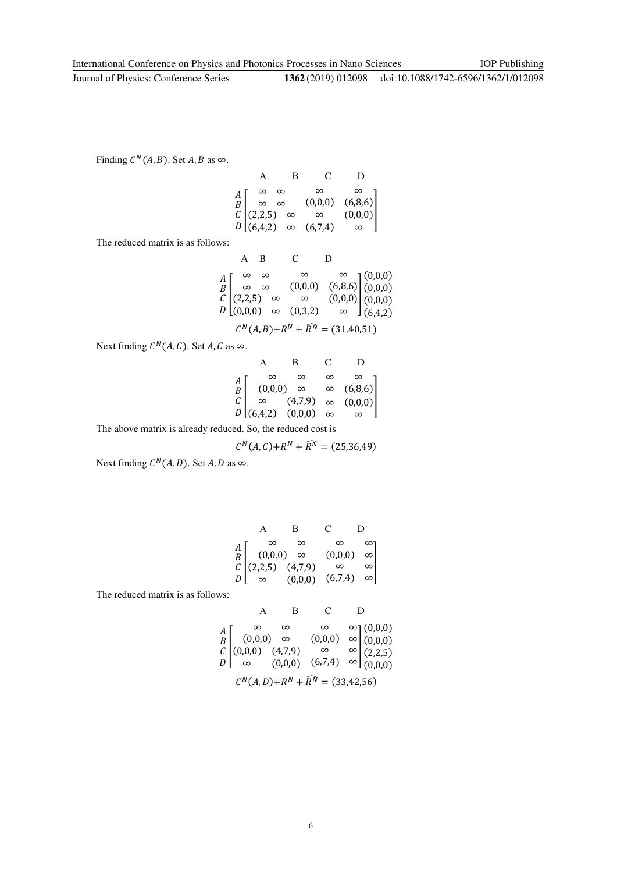Finding  $C^N(A, B)$ . Set A, B as  $\infty$ .

|  |  | $\begin{array}{c} A\left[\begin{array}{cccc} \infty & \infty & \infty & \infty \\ \infty & \infty & (0,0,0) & (6,8,6) \\ C\left(2,2,5\right) & \infty & \infty & (0,0,0) \\ 0.6,4,2) & \infty & (6,7,4) & \infty \end{array}\right] \end{array}$ |
|--|--|--------------------------------------------------------------------------------------------------------------------------------------------------------------------------------------------------------------------------------------------------|

The reduced matrix is as follows:

|  |  | A B C D |                                                                                                                                                                                                                                                                                                                    |  |
|--|--|---------|--------------------------------------------------------------------------------------------------------------------------------------------------------------------------------------------------------------------------------------------------------------------------------------------------------------------|--|
|  |  |         | $\begin{array}{c} A\!\!\!\left[\begin{array}{cccc} \infty & \infty & \infty & \infty \\ \infty & \infty & (0,0,0) & (6,8,6) \\ (2,2,5) & \infty & \infty & (0,0,0) \\ 0 & (0,0,0) & \infty & (0,3,2) \end{array}\right] \!\!\!\left(\begin{array}{c} (0,0,0) \\ (0,0,0) \\ (0,0,0) \end{array}\right) \end{array}$ |  |
|  |  |         |                                                                                                                                                                                                                                                                                                                    |  |

 $C^N(A, B) + R^N + \widehat{R^N} = (31.40.51)$ 

Next finding  $C^N(A, C)$ . Set A, C as  $\infty$ .

|                                             |                    | в                                                                                                                                                | C        |                  |  |
|---------------------------------------------|--------------------|--------------------------------------------------------------------------------------------------------------------------------------------------|----------|------------------|--|
|                                             |                    | $\infty$                                                                                                                                         | $\infty$ |                  |  |
| $\begin{bmatrix} A \\ B \\ C \end{bmatrix}$ | $(0,0,0)$ $\infty$ |                                                                                                                                                  |          | $\infty$ (6,8,6) |  |
|                                             |                    | $\begin{bmatrix} C & (4,7,9) & \infty & (0,0,0) \\ \infty & (4,7,9) & \infty & (0,0,0) \\ 0 & (6,4,2) & (0,0,0) & \infty & \infty \end{bmatrix}$ |          |                  |  |
|                                             |                    |                                                                                                                                                  |          |                  |  |
|                                             |                    |                                                                                                                                                  |          |                  |  |

The above matrix is already reduced. So, the reduced cost is

$$
C^{N}(A, C) + R^{N} + \widehat{R^{N}} = (25, 36, 49)
$$

Next finding  $C^N(A, D)$ . Set A, D as  $\infty$ .

|          | B.                                                                                                                                                                                                                                                                                                      | $\mathbf{C}$ |          |
|----------|---------------------------------------------------------------------------------------------------------------------------------------------------------------------------------------------------------------------------------------------------------------------------------------------------------|--------------|----------|
| $\infty$ | $\infty$                                                                                                                                                                                                                                                                                                | $\infty$     | $\infty$ |
|          |                                                                                                                                                                                                                                                                                                         |              |          |
|          |                                                                                                                                                                                                                                                                                                         |              |          |
|          | $\begin{array}{c} A\ B\ C\ (2,2,5)\ \alpha\to 0\ 0,0,0\end{array} \quad \begin{array}{c} \infty\qquad \infty\qquad \infty\qquad \infty\\ C\ (2,2,5)\ \alpha\to 0,0,0\qquad \infty\qquad \infty\\ D\left(\begin{array}{ccc} \infty\qquad (0,0,0) & (\infty,7,4) & \infty \end{array}\right) \end{array}$ |              |          |

The reduced matrix is as follows:

A B C D  
\n
$$
\begin{array}{ccc}\nA & B & C & D \\
A \\
B & (0,0,0) & \infty & (0,0,0) & \infty \\
C & \infty & (0,0,0) & \infty & (0,0,0) \\
C & \infty & (0,0,0) & (6,7,4) & \infty \\
C^N(A,D)+R^N+\widehat{R}^N = (33.42.56)\n\end{array}
$$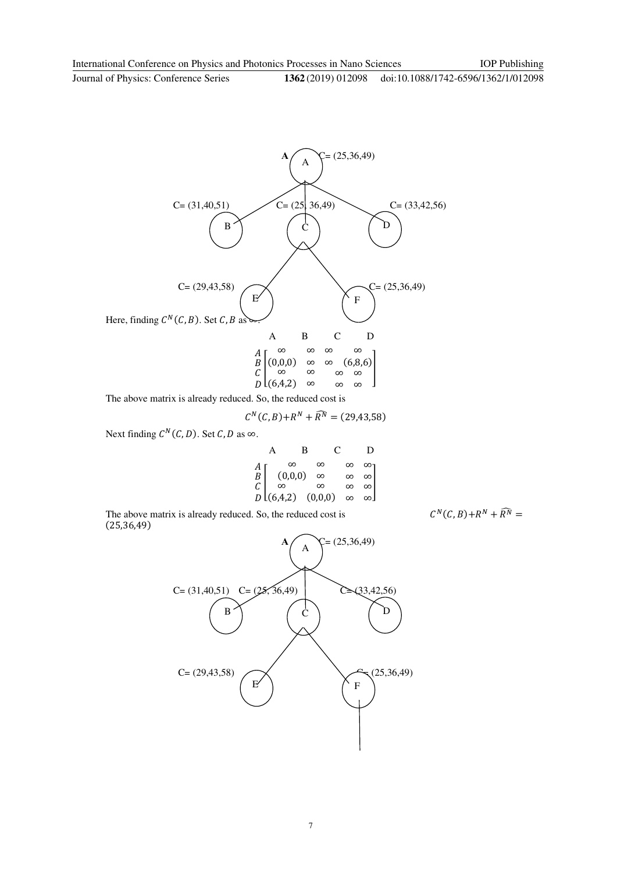IOP Publishing

Journal of Physics: Conference Series **1362** (2019) 012098 doi:10.1088/1742-6596/1362/1/012098



The above matrix is already reduced. So, the reduced cost is

$$
C^{N}(C, B) + R^{N} + \widehat{R^{N}} = (29, 43, 58)
$$

Next finding  $C^N(C, D)$ . Set C, D as ∞.

|                                                                                                                                                              | В | $\mathbf{C}$ | Ð                                                                  |  |
|--------------------------------------------------------------------------------------------------------------------------------------------------------------|---|--------------|--------------------------------------------------------------------|--|
|                                                                                                                                                              |   |              | $\infty$                                                           |  |
|                                                                                                                                                              |   |              | $\begin{bmatrix} \infty & \infty \\ \infty & \infty \end{bmatrix}$ |  |
|                                                                                                                                                              |   |              |                                                                    |  |
| $\begin{array}{c} A \ B \ C \ \infty \ \infty \ \infty \end{array}$ $\begin{array}{c} \infty \ \infty \ \infty \ C \ D \ L(6,4,2) \quad (0,0,0) \end{array}$ |   | $\infty$     |                                                                    |  |

The above matrix is already reduced. So, the reduced cost is  $C^N(C, B) + R^N + \widehat{R}^N =$ (25,36,49)

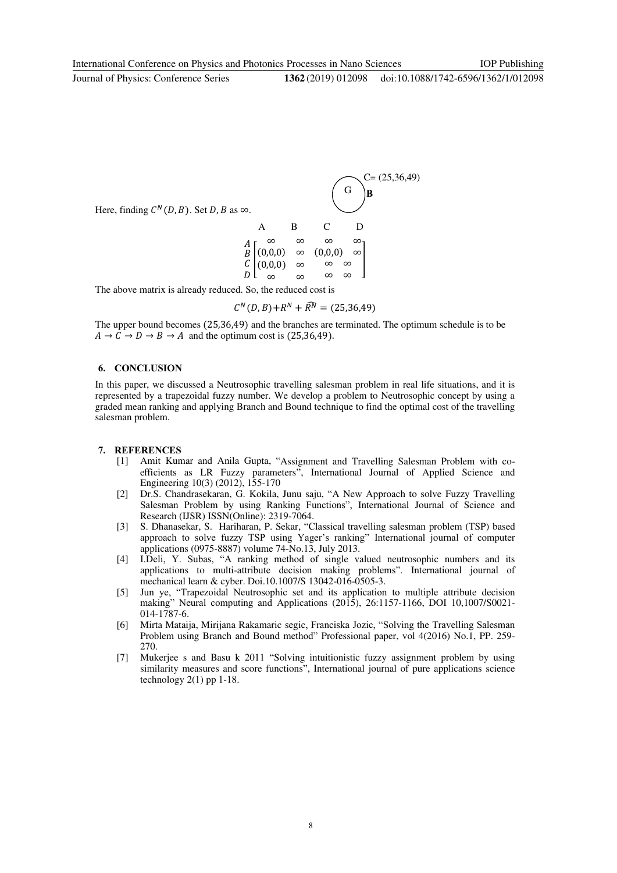Journal of Physics: Conference Series **1362** (2019) 012098



The above matrix is already reduced. So, the reduced cost is

$$
C^{N}(D,B) + R^{N} + \widehat{R^{N}} = (25,36,49)
$$

The upper bound becomes (25,36,49) and the branches are terminated. The optimum schedule is to be  $A \rightarrow C \rightarrow D \rightarrow B \rightarrow A$  and the optimum cost is (25,36,49).

### **6. CONCLUSION**

In this paper, we discussed a Neutrosophic travelling salesman problem in real life situations, and it is represented by a trapezoidal fuzzy number. We develop a problem to Neutrosophic concept by using a graded mean ranking and applying Branch and Bound technique to find the optimal cost of the travelling salesman problem.

#### **7. REFERENCES**

- [1] Amit Kumar and Anila Gupta, "Assignment and Travelling Salesman Problem with coefficients as LR Fuzzy parameters", International Journal of Applied Science and Engineering 10(3) (2012), 155-170
- [2] Dr.S. Chandrasekaran, G. Kokila, Junu saju, "A New Approach to solve Fuzzy Travelling Salesman Problem by using Ranking Functions", International Journal of Science and Research (IJSR) ISSN(Online): 2319-7064.
- [3] S. Dhanasekar, S. Hariharan, P. Sekar, "Classical travelling salesman problem (TSP) based approach to solve fuzzy TSP using Yager's ranking" International journal of computer applications (0975-8887) volume 74-No.13, July 2013.
- [4] I.Deli, Y. Subas, "A ranking method of single valued neutrosophic numbers and its applications to multi-attribute decision making problems". International journal of mechanical learn & cyber. Doi.10.1007/S 13042-016-0505-3.
- [5] Jun ye, "Trapezoidal Neutrosophic set and its application to multiple attribute decision making" Neural computing and Applications (2015), 26:1157-1166, DOI 10,1007/S0021-014-1787-6.
- [6] Mirta Mataija, Mirijana Rakamaric segic, Franciska Jozic, "Solving the Travelling Salesman Problem using Branch and Bound method" Professional paper, vol 4(2016) No.1, PP. 259- 270.
- [7] Mukerjee s and Basu k 2011 "Solving intuitionistic fuzzy assignment problem by using similarity measures and score functions", International journal of pure applications science technology  $2(1)$  pp 1-18.